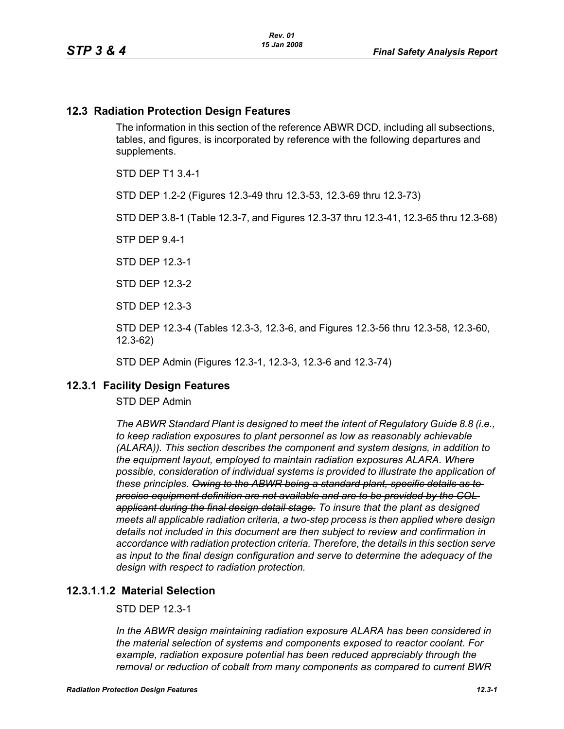### **12.3 Radiation Protection Design Features**

The information in this section of the reference ABWR DCD, including all subsections, tables, and figures, is incorporated by reference with the following departures and supplements.

STD DEP T1 3.4-1

STD DEP 1.2-2 (Figures 12.3-49 thru 12.3-53, 12.3-69 thru 12.3-73)

STD DEP 3.8-1 (Table 12.3-7, and Figures 12.3-37 thru 12.3-41, 12.3-65 thru 12.3-68)

STP DEP 9.4-1

STD DEP 12.3-1

STD DEP 12.3-2

STD DEP 12.3-3

STD DEP 12.3-4 (Tables 12.3-3, 12.3-6, and Figures 12.3-56 thru 12.3-58, 12.3-60, 12.3-62)

STD DEP Admin (Figures 12.3-1, 12.3-3, 12.3-6 and 12.3-74)

# **12.3.1 Facility Design Features**

STD DEP Admin

*The ABWR Standard Plant is designed to meet the intent of Regulatory Guide 8.8 (i.e., to keep radiation exposures to plant personnel as low as reasonably achievable (ALARA)). This section describes the component and system designs, in addition to the equipment layout, employed to maintain radiation exposures ALARA. Where possible, consideration of individual systems is provided to illustrate the application of these principles. Owing to the ABWR being a standard plant, specific details as to precise equipment definition are not available and are to be provided by the COL applicant during the final design detail stage. To insure that the plant as designed meets all applicable radiation criteria, a two-step process is then applied where design details not included in this document are then subject to review and confirmation in accordance with radiation protection criteria. Therefore, the details in this section serve as input to the final design configuration and serve to determine the adequacy of the design with respect to radiation protection.*

### **12.3.1.1.2 Material Selection**

## STD DEP 12.3-1

*In the ABWR design maintaining radiation exposure ALARA has been considered in the material selection of systems and components exposed to reactor coolant. For example, radiation exposure potential has been reduced appreciably through the removal or reduction of cobalt from many components as compared to current BWR*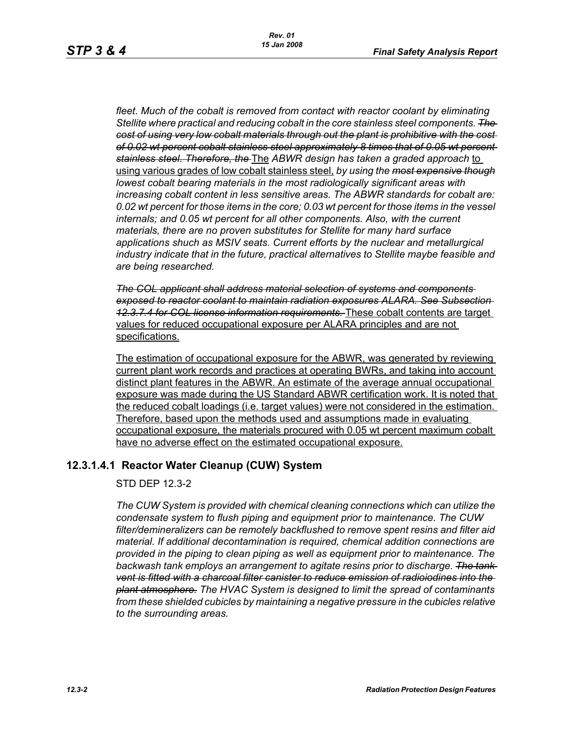fleet. Much of the cobalt is removed from contact with reactor coolant by eliminating *Stellite where practical and reducing cobalt in the core stainless steel components. The cost of using very low cobalt materials through out the plant is prohibitive with the cost of 0.02 wt percent cobalt stainless steel approximately 8 times that of 0.05 wt percent stainless steel. Therefore, the* The *ABWR design has taken a graded approach* to using various grades of low cobalt stainless steel, *by using the most expensive though lowest cobalt bearing materials in the most radiologically significant areas with increasing cobalt content in less sensitive areas. The ABWR standards for cobalt are: 0.02 wt percent for those items in the core; 0.03 wt percent for those items in the vessel internals; and 0.05 wt percent for all other components. Also, with the current materials, there are no proven substitutes for Stellite for many hard surface applications shuch as MSIV seats. Current efforts by the nuclear and metallurgical industry indicate that in the future, practical alternatives to Stellite maybe feasible and are being researched.*

*The COL applicant shall address material selection of systems and components exposed to reactor coolant to maintain radiation exposures ALARA. See Subsection 12.3.7.4 for COL license information requirements.* These cobalt contents are target values for reduced occupational exposure per ALARA principles and are not specifications.

The estimation of occupational exposure for the ABWR, was generated by reviewing current plant work records and practices at operating BWRs, and taking into account distinct plant features in the ABWR. An estimate of the average annual occupational exposure was made during the US Standard ABWR certification work. It is noted that the reduced cobalt loadings (i.e. target values) were not considered in the estimation. Therefore, based upon the methods used and assumptions made in evaluating occupational exposure, the materials procured with 0.05 wt percent maximum cobalt have no adverse effect on the estimated occupational exposure.

# **12.3.1.4.1 Reactor Water Cleanup (CUW) System**

STD DEP 12.3-2

*The CUW System is provided with chemical cleaning connections which can utilize the condensate system to flush piping and equipment prior to maintenance. The CUW filter/demineralizers can be remotely backflushed to remove spent resins and filter aid material. If additional decontamination is required, chemical addition connections are provided in the piping to clean piping as well as equipment prior to maintenance. The backwash tank employs an arrangement to agitate resins prior to discharge. The tank vent is fitted with a charcoal filter canister to reduce emission of radioiodines into the plant atmosphere. The HVAC System is designed to limit the spread of contaminants from these shielded cubicles by maintaining a negative pressure in the cubicles relative to the surrounding areas.*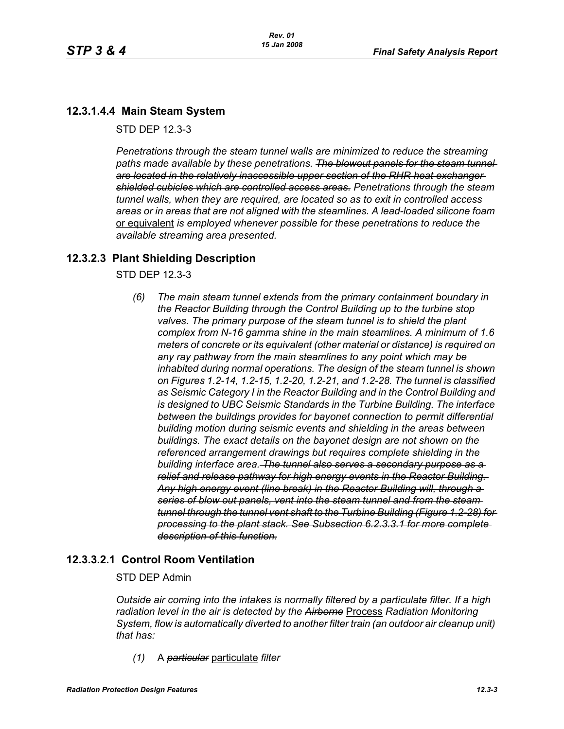# **12.3.1.4.4 Main Steam System**

STD DEP 12.3-3

*Penetrations through the steam tunnel walls are minimized to reduce the streaming*  paths made available by these penetrations. The blowout panels for the steam tunnel*are located in the relatively inaccessible upper section of the RHR heat exchanger shielded cubicles which are controlled access areas. Penetrations through the steam tunnel walls, when they are required, are located so as to exit in controlled access areas or in areas that are not aligned with the steamlines. A lead-loaded silicone foam*  or equivalent *is employed whenever possible for these penetrations to reduce the available streaming area presented.*

# **12.3.2.3 Plant Shielding Description**

STD DEP 12.3-3

*(6) The main steam tunnel extends from the primary containment boundary in the Reactor Building through the Control Building up to the turbine stop valves. The primary purpose of the steam tunnel is to shield the plant complex from N-16 gamma shine in the main steamlines. A minimum of 1.6 meters of concrete or its equivalent (other material or distance) is required on any ray pathway from the main steamlines to any point which may be inhabited during normal operations. The design of the steam tunnel is shown on Figures 1.2-14, 1.2-15, 1.2-20, 1.2-21, and 1.2-28. The tunnel is classified as Seismic Category I in the Reactor Building and in the Control Building and is designed to UBC Seismic Standards in the Turbine Building. The interface between the buildings provides for bayonet connection to permit differential building motion during seismic events and shielding in the areas between buildings. The exact details on the bayonet design are not shown on the referenced arrangement drawings but requires complete shielding in the building interface area. The tunnel also serves a secondary purpose as a relief and release pathway for high energy events in the Reactor Building. Any high energy event (line break) in the Reactor Building will, through a series of blow out panels, vent into the steam tunnel and from the steam tunnel through the tunnel vent shaft to the Turbine Building (Figure 1.2-28) for processing to the plant stack. See Subsection 6.2.3.3.1 for more complete description of this function.*

# **12.3.3.2.1 Control Room Ventilation**

### STD DEP Admin

*Outside air coming into the intakes is normally filtered by a particulate filter. If a high radiation level in the air is detected by the Airborne* Process *Radiation Monitoring System, flow is automatically diverted to another filter train (an outdoor air cleanup unit) that has:*

*(1)* A *particular* particulate *filter*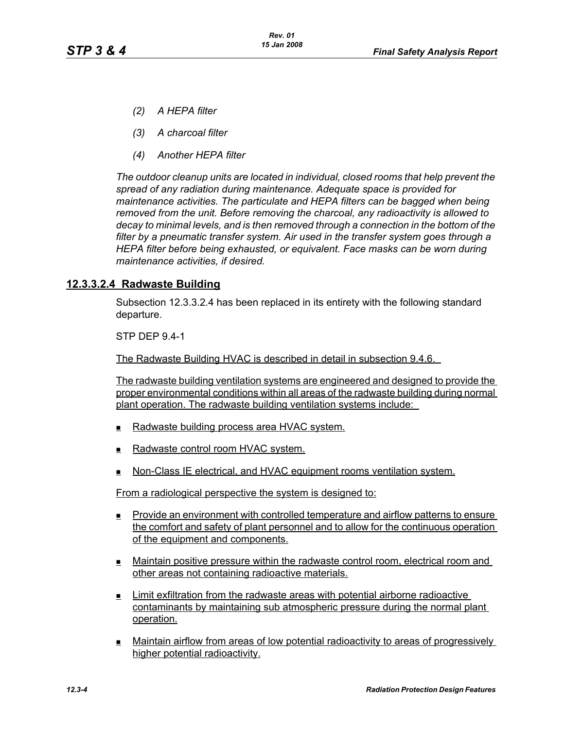- *(2) A HEPA filter*
- *(3) A charcoal filter*
- *(4) Another HEPA filter*

*The outdoor cleanup units are located in individual, closed rooms that help prevent the spread of any radiation during maintenance. Adequate space is provided for maintenance activities. The particulate and HEPA filters can be bagged when being removed from the unit. Before removing the charcoal, any radioactivity is allowed to decay to minimal levels, and is then removed through a connection in the bottom of the filter by a pneumatic transfer system. Air used in the transfer system goes through a HEPA filter before being exhausted, or equivalent. Face masks can be worn during maintenance activities, if desired.*

## **12.3.3.2.4 Radwaste Building**

Subsection 12.3.3.2.4 has been replaced in its entirety with the following standard departure.

STP DEP 9.4-1

The Radwaste Building HVAC is described in detail in subsection 9.4.6.

The radwaste building ventilation systems are engineered and designed to provide the proper environmental conditions within all areas of the radwaste building during normal plant operation. The radwaste building ventilation systems include:

- Radwaste building process area HVAC system.
- $\blacksquare$  Radwaste control room HVAC system.
- $\blacksquare$  Non-Class IE electrical, and HVAC equipment rooms ventilation system.

From a radiological perspective the system is designed to:

- Provide an environment with controlled temperature and airflow patterns to ensure the comfort and safety of plant personnel and to allow for the continuous operation of the equipment and components.
- Maintain positive pressure within the radwaste control room, electrical room and other areas not containing radioactive materials.
- Limit exfiltration from the radwaste areas with potential airborne radioactive contaminants by maintaining sub atmospheric pressure during the normal plant operation.
- Maintain airflow from areas of low potential radioactivity to areas of progressively higher potential radioactivity.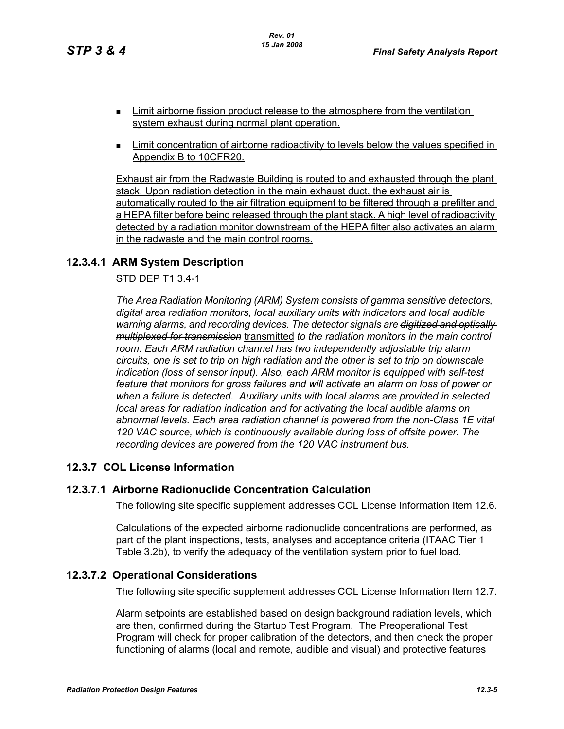- **EXECUTE:** Limit airborne fission product release to the atmosphere from the ventilation system exhaust during normal plant operation.
- $\blacksquare$  Limit concentration of airborne radioactivity to levels below the values specified in Appendix B to 10CFR20.

Exhaust air from the Radwaste Building is routed to and exhausted through the plant stack. Upon radiation detection in the main exhaust duct, the exhaust air is automatically routed to the air filtration equipment to be filtered through a prefilter and a HEPA filter before being released through the plant stack. A high level of radioactivity detected by a radiation monitor downstream of the HEPA filter also activates an alarm in the radwaste and the main control rooms.

# **12.3.4.1 ARM System Description**

## STD DEP T1 3.4-1

*The Area Radiation Monitoring (ARM) System consists of gamma sensitive detectors, digital area radiation monitors, local auxiliary units with indicators and local audible warning alarms, and recording devices. The detector signals are digitized and optically multiplexed for transmission* transmitted *to the radiation monitors in the main control room. Each ARM radiation channel has two independently adjustable trip alarm circuits, one is set to trip on high radiation and the other is set to trip on downscale indication (loss of sensor input). Also, each ARM monitor is equipped with self-test feature that monitors for gross failures and will activate an alarm on loss of power or when a failure is detected. Auxiliary units with local alarms are provided in selected local areas for radiation indication and for activating the local audible alarms on abnormal levels. Each area radiation channel is powered from the non-Class 1E vital 120 VAC source, which is continuously available during loss of offsite power. The recording devices are powered from the 120 VAC instrument bus.*

# **12.3.7 COL License Information**

### **12.3.7.1 Airborne Radionuclide Concentration Calculation**

The following site specific supplement addresses COL License Information Item 12.6.

Calculations of the expected airborne radionuclide concentrations are performed, as part of the plant inspections, tests, analyses and acceptance criteria (ITAAC Tier 1 Table 3.2b), to verify the adequacy of the ventilation system prior to fuel load.

### **12.3.7.2 Operational Considerations**

The following site specific supplement addresses COL License Information Item 12.7.

Alarm setpoints are established based on design background radiation levels, which are then, confirmed during the Startup Test Program. The Preoperational Test Program will check for proper calibration of the detectors, and then check the proper functioning of alarms (local and remote, audible and visual) and protective features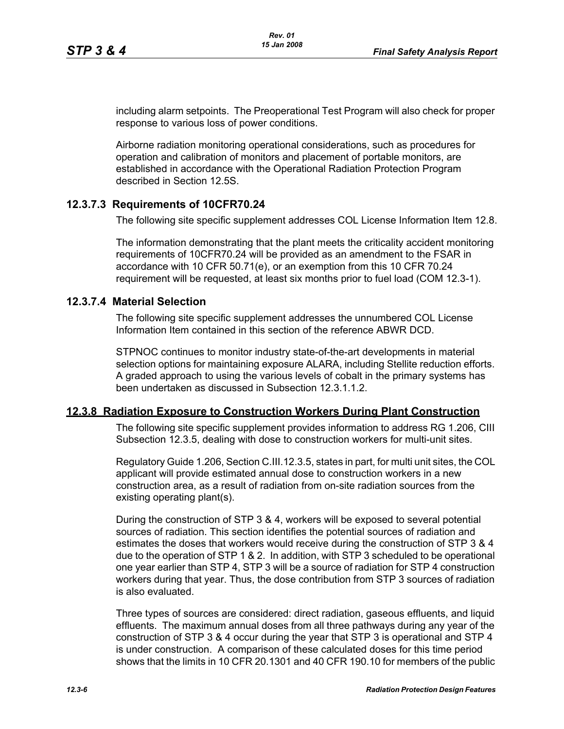including alarm setpoints. The Preoperational Test Program will also check for proper response to various loss of power conditions.

Airborne radiation monitoring operational considerations, such as procedures for operation and calibration of monitors and placement of portable monitors, are established in accordance with the Operational Radiation Protection Program described in Section 12.5S.

## **12.3.7.3 Requirements of 10CFR70.24**

The following site specific supplement addresses COL License Information Item 12.8.

The information demonstrating that the plant meets the criticality accident monitoring requirements of 10CFR70.24 will be provided as an amendment to the FSAR in accordance with 10 CFR 50.71(e), or an exemption from this 10 CFR 70.24 requirement will be requested, at least six months prior to fuel load (COM 12.3-1).

## **12.3.7.4 Material Selection**

The following site specific supplement addresses the unnumbered COL License Information Item contained in this section of the reference ABWR DCD.

STPNOC continues to monitor industry state-of-the-art developments in material selection options for maintaining exposure ALARA, including Stellite reduction efforts. A graded approach to using the various levels of cobalt in the primary systems has been undertaken as discussed in Subsection 12.3.1.1.2.

### **12.3.8 Radiation Exposure to Construction Workers During Plant Construction**

The following site specific supplement provides information to address RG 1.206, CIII Subsection 12.3.5, dealing with dose to construction workers for multi-unit sites.

Regulatory Guide 1.206, Section C.III.12.3.5, states in part, for multi unit sites, the COL applicant will provide estimated annual dose to construction workers in a new construction area, as a result of radiation from on-site radiation sources from the existing operating plant(s).

During the construction of STP 3 & 4, workers will be exposed to several potential sources of radiation. This section identifies the potential sources of radiation and estimates the doses that workers would receive during the construction of STP 3 & 4 due to the operation of STP 1 & 2. In addition, with STP 3 scheduled to be operational one year earlier than STP 4, STP 3 will be a source of radiation for STP 4 construction workers during that year. Thus, the dose contribution from STP 3 sources of radiation is also evaluated.

Three types of sources are considered: direct radiation, gaseous effluents, and liquid effluents. The maximum annual doses from all three pathways during any year of the construction of STP 3 & 4 occur during the year that STP 3 is operational and STP 4 is under construction. A comparison of these calculated doses for this time period shows that the limits in 10 CFR 20.1301 and 40 CFR 190.10 for members of the public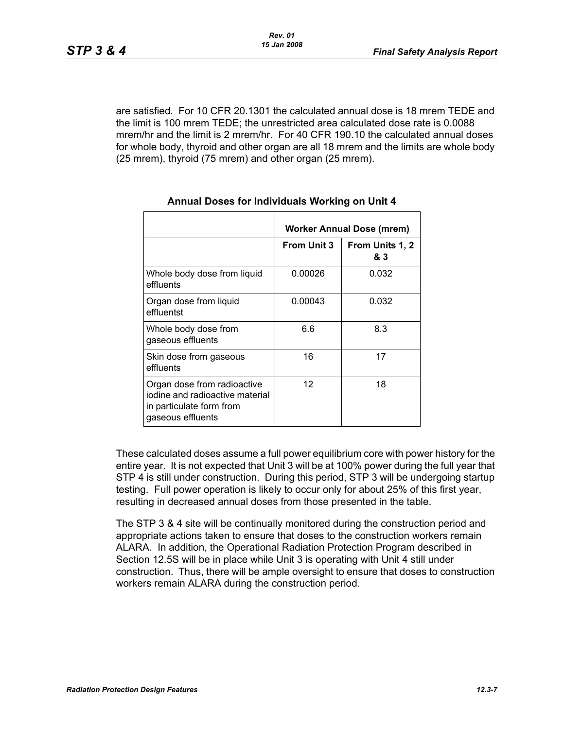are satisfied. For 10 CFR 20.1301 the calculated annual dose is 18 mrem TEDE and the limit is 100 mrem TEDE; the unrestricted area calculated dose rate is 0.0088 mrem/hr and the limit is 2 mrem/hr. For 40 CFR 190.10 the calculated annual doses for whole body, thyroid and other organ are all 18 mrem and the limits are whole body (25 mrem), thyroid (75 mrem) and other organ (25 mrem).

|                                                                                                                 | Worker Annual Dose (mrem) |                        |  |
|-----------------------------------------------------------------------------------------------------------------|---------------------------|------------------------|--|
|                                                                                                                 | <b>From Unit 3</b>        | From Units 1, 2<br>& 3 |  |
| Whole body dose from liquid<br>effluents                                                                        | 0.00026                   | 0.032                  |  |
| Organ dose from liquid<br>effluentst                                                                            | 0.00043                   | 0.032                  |  |
| Whole body dose from<br>gaseous effluents                                                                       | 6.6                       | 8.3                    |  |
| Skin dose from gaseous<br>effluents                                                                             | 16                        | 17                     |  |
| Organ dose from radioactive<br>jodine and radioactive material<br>in particulate form from<br>gaseous effluents | $12 \overline{ }$         | 18                     |  |

#### **Annual Doses for Individuals Working on Unit 4**

These calculated doses assume a full power equilibrium core with power history for the entire year. It is not expected that Unit 3 will be at 100% power during the full year that STP 4 is still under construction. During this period, STP 3 will be undergoing startup testing. Full power operation is likely to occur only for about 25% of this first year, resulting in decreased annual doses from those presented in the table.

The STP 3 & 4 site will be continually monitored during the construction period and appropriate actions taken to ensure that doses to the construction workers remain ALARA. In addition, the Operational Radiation Protection Program described in Section 12.5S will be in place while Unit 3 is operating with Unit 4 still under construction. Thus, there will be ample oversight to ensure that doses to construction workers remain ALARA during the construction period.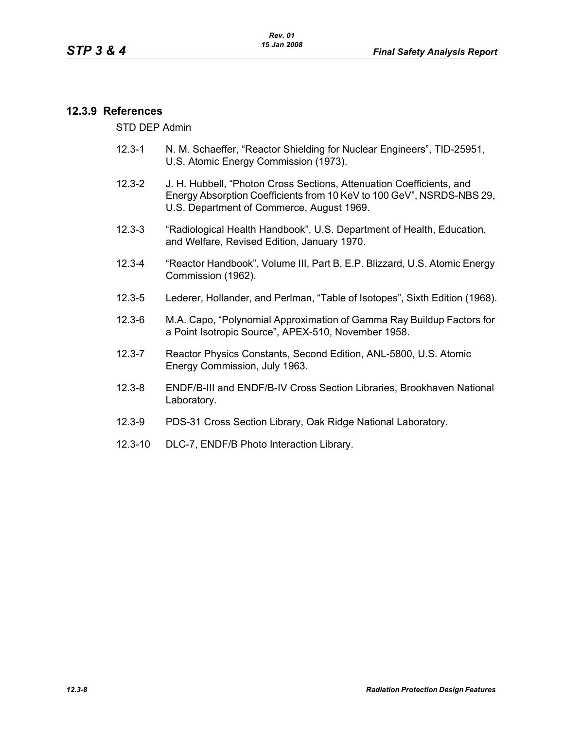## **12.3.9 References**

STD DEP Admin

- 12.3-1 N. M. Schaeffer, "Reactor Shielding for Nuclear Engineers", TID-25951, U.S. Atomic Energy Commission (1973).
- 12.3-2 J. H. Hubbell, "Photon Cross Sections, Attenuation Coefficients, and Energy Absorption Coefficients from 10 KeV to 100 GeV", NSRDS-NBS 29, U.S. Department of Commerce, August 1969.
- 12.3-3 "Radiological Health Handbook", U.S. Department of Health, Education, and Welfare, Revised Edition, January 1970.
- 12.3-4 "Reactor Handbook", Volume III, Part B, E.P. Blizzard, U.S. Atomic Energy Commission (1962).
- 12.3-5 Lederer, Hollander, and Perlman, "Table of Isotopes", Sixth Edition (1968).
- 12.3-6 M.A. Capo, "Polynomial Approximation of Gamma Ray Buildup Factors for a Point Isotropic Source", APEX-510, November 1958.
- 12.3-7 Reactor Physics Constants, Second Edition, ANL-5800, U.S. Atomic Energy Commission, July 1963.
- 12.3-8 ENDF/B-III and ENDF/B-IV Cross Section Libraries, Brookhaven National Laboratory.
- 12.3-9 PDS-31 Cross Section Library, Oak Ridge National Laboratory.
- 12.3-10 DLC-7, ENDF/B Photo Interaction Library.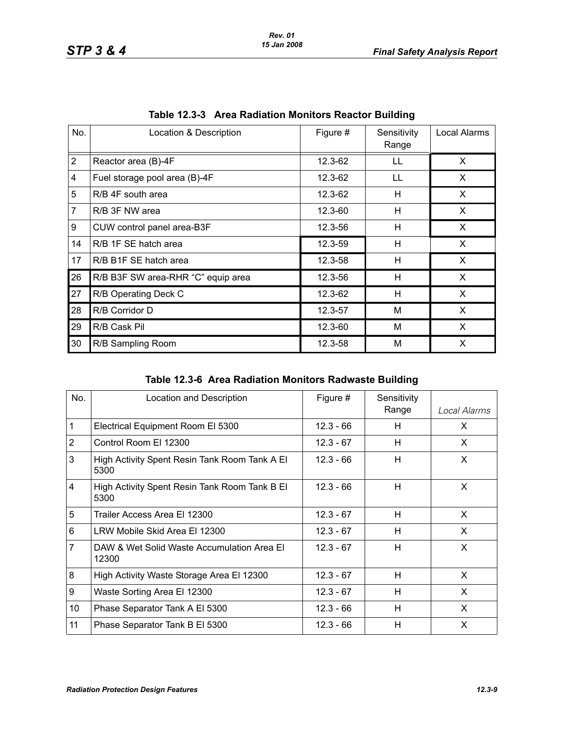| No.            | Location & Description             | Figure # | Sensitivity<br>Range | Local Alarms |
|----------------|------------------------------------|----------|----------------------|--------------|
| $\overline{2}$ | Reactor area (B)-4F                | 12.3-62  | LL                   | X            |
| $\overline{4}$ | Fuel storage pool area (B)-4F      | 12.3-62  | LL                   | X            |
| 5              | R/B 4F south area                  | 12.3-62  | н                    | X.           |
| $\overline{7}$ | R/B 3F NW area                     | 12.3-60  | H                    | X            |
| 9              | CUW control panel area-B3F         | 12.3-56  | н                    | X            |
| 14             | R/B 1F SE hatch area               | 12.3-59  | н                    | X            |
| 17             | R/B B1F SE hatch area              | 12.3-58  | H                    | X            |
| 26             | R/B B3F SW area-RHR "C" equip area | 12.3-56  | н                    | X            |
| 27             | R/B Operating Deck C               | 12.3-62  | Н                    | X            |
| 28             | R/B Corridor D                     | 12.3-57  | M                    | X            |
| 29             | R/B Cask Pil                       | 12.3-60  | M                    | X            |
| 30             | R/B Sampling Room                  | 12.3-58  | M                    | X            |

|  | Table 12.3-3 Area Radiation Monitors Reactor Building |  |  |  |
|--|-------------------------------------------------------|--|--|--|
|--|-------------------------------------------------------|--|--|--|

**Table 12.3-6 Area Radiation Monitors Radwaste Building**

| No.            | Location and Description                              | Figure #    | Sensitivity<br>Range | Local Alarms |
|----------------|-------------------------------------------------------|-------------|----------------------|--------------|
| 1              | Electrical Equipment Room El 5300                     | $12.3 - 66$ | н                    | X            |
| $\overline{2}$ | Control Room El 12300                                 | $12.3 - 67$ | H                    | X            |
| 3              | High Activity Spent Resin Tank Room Tank A El<br>5300 | $12.3 - 66$ | H                    | X            |
| $\overline{4}$ | High Activity Spent Resin Tank Room Tank B EI<br>5300 | $12.3 - 66$ | H                    | X            |
| 5              | Trailer Access Area El 12300                          | $12.3 - 67$ | H                    | X            |
| 6              | LRW Mobile Skid Area El 12300                         | $12.3 - 67$ | H                    | X            |
| 7              | DAW & Wet Solid Waste Accumulation Area EI<br>12300   | $12.3 - 67$ | н                    | X            |
| 8              | High Activity Waste Storage Area El 12300             | $12.3 - 67$ | H                    | $\times$     |
| 9              | Waste Sorting Area El 12300                           | $12.3 - 67$ | H                    | X            |
| 10             | Phase Separator Tank A El 5300                        | $12.3 - 66$ | H                    | X            |
| 11             | Phase Separator Tank B El 5300                        | $12.3 - 66$ | Н                    | X            |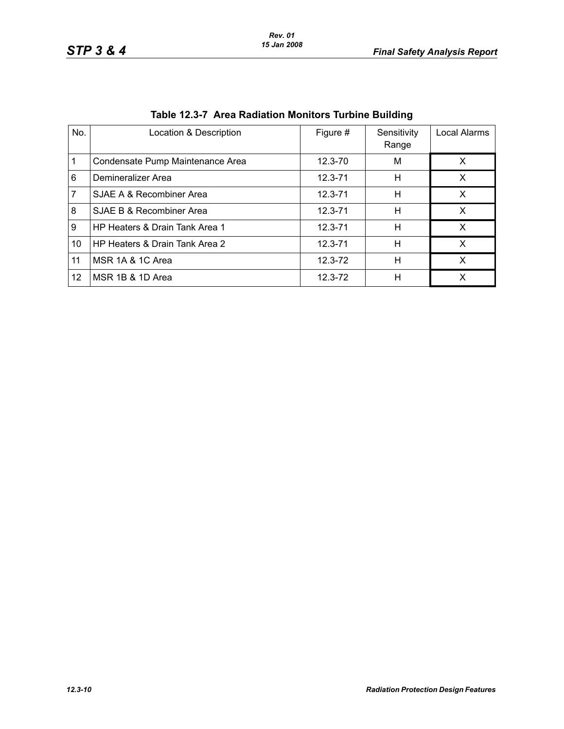| No. | Location & Description           | Figure #    | Sensitivity<br>Range | Local Alarms |
|-----|----------------------------------|-------------|----------------------|--------------|
|     | Condensate Pump Maintenance Area | $12.3 - 70$ | M                    | X            |
| 6   | Demineralizer Area               | $12.3 - 71$ | н                    | X            |
| 7   | SJAE A & Recombiner Area         | $12.3 - 71$ | н                    | X            |
| 8   | SJAE B & Recombiner Area         | $12.3 - 71$ | н                    | x            |
| 9   | HP Heaters & Drain Tank Area 1   | $12.3 - 71$ | н                    | X            |
| 10  | HP Heaters & Drain Tank Area 2   | $12.3 - 71$ | н                    | x            |
| 11  | MSR 1A & 1C Area                 | $12.3 - 72$ | н                    | X            |
| 12  | MSR 1B & 1D Area                 | $12.3 - 72$ | н                    |              |

|  | Table 12.3-7 Area Radiation Monitors Turbine Building |  |  |
|--|-------------------------------------------------------|--|--|
|  |                                                       |  |  |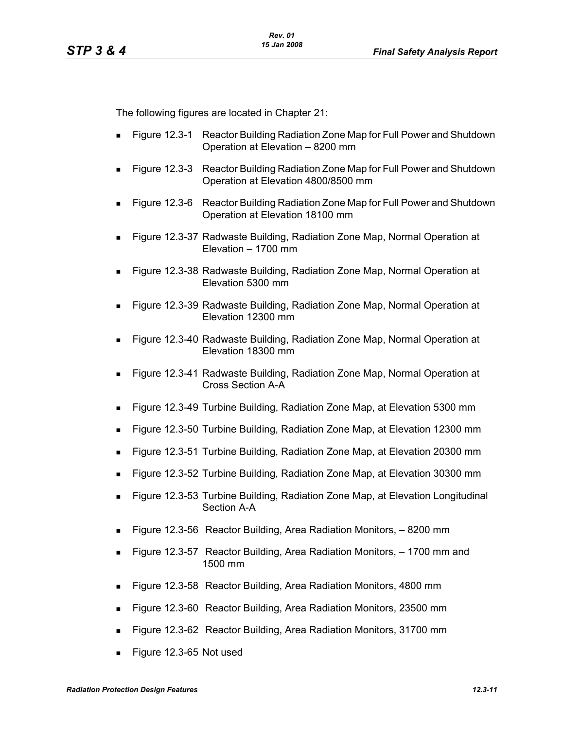The following figures are located in Chapter 21:

- Figure 12.3-1 Reactor Building Radiation Zone Map for Full Power and Shutdown Operation at Elevation – 8200 mm
- Figure 12.3-3 Reactor Building Radiation Zone Map for Full Power and Shutdown Operation at Elevation 4800/8500 mm
- Figure 12.3-6 Reactor Building Radiation Zone Map for Full Power and Shutdown Operation at Elevation 18100 mm
- Figure 12.3-37 Radwaste Building, Radiation Zone Map, Normal Operation at Elevation – 1700 mm
- Figure 12.3-38 Radwaste Building, Radiation Zone Map, Normal Operation at Elevation 5300 mm
- Figure 12.3-39 Radwaste Building, Radiation Zone Map, Normal Operation at Elevation 12300 mm
- Figure 12.3-40 Radwaste Building, Radiation Zone Map, Normal Operation at Elevation 18300 mm
- Figure 12.3-41 Radwaste Building, Radiation Zone Map, Normal Operation at Cross Section A-A
- Figure 12.3-49 Turbine Building, Radiation Zone Map, at Elevation 5300 mm
- Figure 12.3-50 Turbine Building, Radiation Zone Map, at Elevation 12300 mm
- Figure 12.3-51 Turbine Building, Radiation Zone Map, at Elevation 20300 mm
- Figure 12.3-52 Turbine Building, Radiation Zone Map, at Elevation 30300 mm
- Figure 12.3-53 Turbine Building, Radiation Zone Map, at Elevation Longitudinal Section A-A
- Figure 12.3-56 Reactor Building, Area Radiation Monitors, 8200 mm
- Figure 12.3-57 Reactor Building, Area Radiation Monitors, 1700 mm and 1500 mm
- Figure 12.3-58 Reactor Building, Area Radiation Monitors, 4800 mm
- Figure 12.3-60 Reactor Building, Area Radiation Monitors, 23500 mm
- Figure 12.3-62 Reactor Building, Area Radiation Monitors, 31700 mm
- Figure 12.3-65 Not used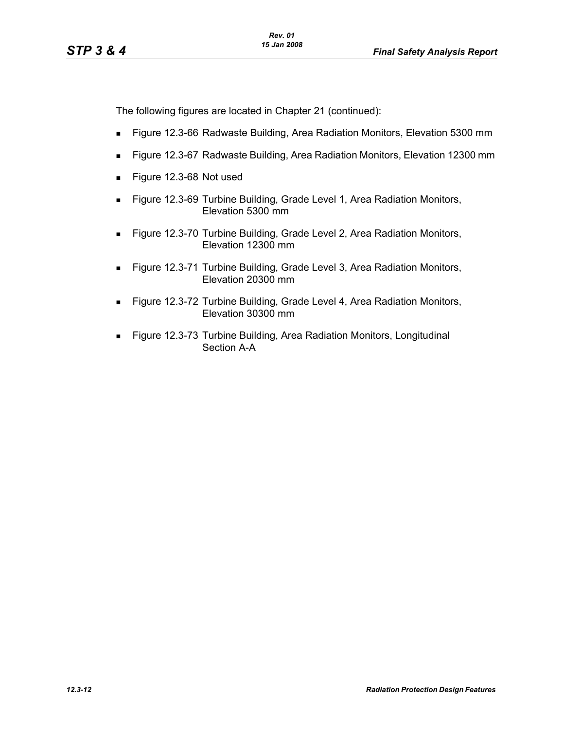The following figures are located in Chapter 21 (continued):

- Figure 12.3-66 Radwaste Building, Area Radiation Monitors, Elevation 5300 mm
- Figure 12.3-67 Radwaste Building, Area Radiation Monitors, Elevation 12300 mm
- Figure 12.3-68 Not used
- Figure 12.3-69 Turbine Building, Grade Level 1, Area Radiation Monitors, Elevation 5300 mm
- Figure 12.3-70 Turbine Building, Grade Level 2, Area Radiation Monitors, Elevation 12300 mm
- Figure 12.3-71 Turbine Building, Grade Level 3, Area Radiation Monitors, Elevation 20300 mm
- Figure 12.3-72 Turbine Building, Grade Level 4, Area Radiation Monitors, Elevation 30300 mm
- **Figure 12.3-73 Turbine Building, Area Radiation Monitors, Longitudinal** Section A-A